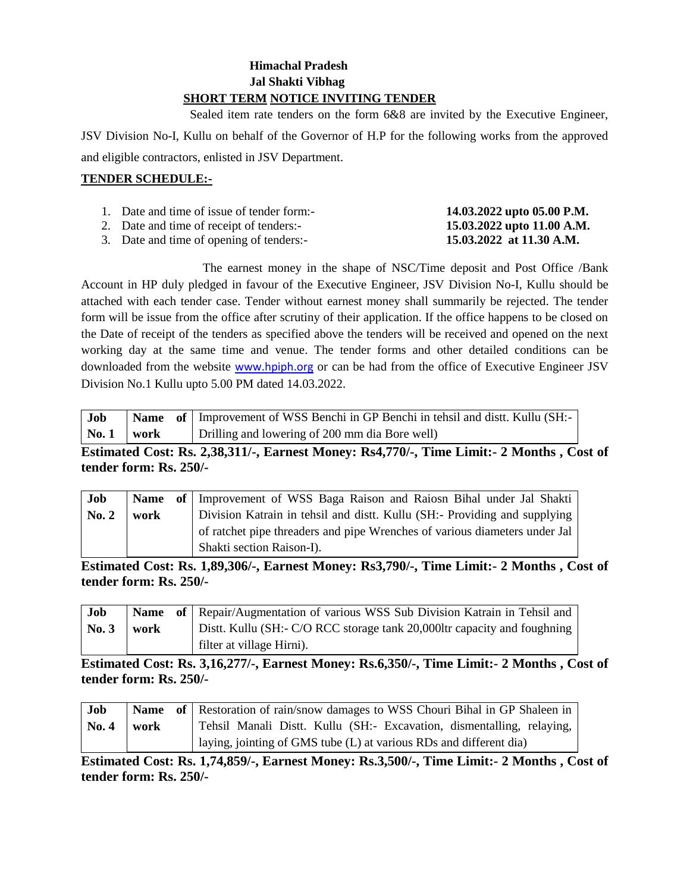#### **Himachal Pradesh Jal Shakti Vibhag SHORT TERM NOTICE INVITING TENDER**

 Sealed item rate tenders on the form 6&8 are invited by the Executive Engineer, JSV Division No-I, Kullu on behalf of the Governor of H.P for the following works from the approved and eligible contractors, enlisted in JSV Department.

#### **TENDER SCHEDULE:-**

| 1. Date and time of issue of tender form:- | 14.03.2022 upto 05.00 P.M. |
|--------------------------------------------|----------------------------|
| 2. Date and time of receipt of tenders:-   | 15.03.2022 upto 11.00 A.M. |

3. Date and time of opening of tenders:<br>3. Date and time of opening of tenders:- **15.03.2022 at 11.30 A.M.** 

The earnest money in the shape of NSC/Time deposit and Post Office /Bank Account in HP duly pledged in favour of the Executive Engineer, JSV Division No-I, Kullu should be attached with each tender case. Tender without earnest money shall summarily be rejected. The tender form will be issue from the office after scrutiny of their application. If the office happens to be closed on the Date of receipt of the tenders as specified above the tenders will be received and opened on the next working day at the same time and venue. The tender forms and other detailed conditions can be downloaded from the website [www.hpiph.org](http://www.hpiph.org/) or can be had from the office of Executive Engineer JSV Division No.1 Kullu upto 5.00 PM dated 14.03.2022.

| Job                          |  | <b>Name</b> of Improvement of WSS Benchi in GP Benchi in tehsil and dist. Kullu (SH:- |
|------------------------------|--|---------------------------------------------------------------------------------------|
| $\lfloor N_0.1 \rfloor$ work |  | Drilling and lowering of 200 mm dia Bore well)                                        |

# **Estimated Cost: Rs. 2,38,311/-, Earnest Money: Rs4,770/-, Time Limit:- 2 Months , Cost of tender form: Rs. 250/-**

| Job   |      | <b>Name</b> of Improvement of WSS Baga Raison and Raiosn Bihal under Jal Shakti |
|-------|------|---------------------------------------------------------------------------------|
| No. 2 | work | Division Katrain in tehsil and distt. Kullu (SH:- Providing and supplying       |
|       |      | of ratchet pipe threaders and pipe Wrenches of various diameters under Jal      |
|       |      | Shakti section Raison-I).                                                       |

**Estimated Cost: Rs. 1,89,306/-, Earnest Money: Rs3,790/-, Time Limit:- 2 Months , Cost of tender form: Rs. 250/-**

| Job             |      | <b>Name</b> of Repair/Augmentation of various WSS Sub Division Katrain in Tehsil and |
|-----------------|------|--------------------------------------------------------------------------------------|
| $\mathbf{No.}3$ | work | Distt. Kullu (SH:- C/O RCC storage tank 20,000ltr capacity and foughning             |
|                 |      | filter at village Hirni).                                                            |

**Estimated Cost: Rs. 3,16,277/-, Earnest Money: Rs.6,350/-, Time Limit:- 2 Months , Cost of tender form: Rs. 250/-**

| Job   |      | <b>Name</b> of Restoration of rain/snow damages to WSS Chouri Bihal in GP Shaleen in |
|-------|------|--------------------------------------------------------------------------------------|
| No. 4 | work | Tehsil Manali Distt. Kullu (SH:- Excavation, dismentalling, relaying,                |
|       |      | laying, jointing of GMS tube (L) at various RDs and different dia)                   |

**Estimated Cost: Rs. 1,74,859/-, Earnest Money: Rs.3,500/-, Time Limit:- 2 Months , Cost of tender form: Rs. 250/-**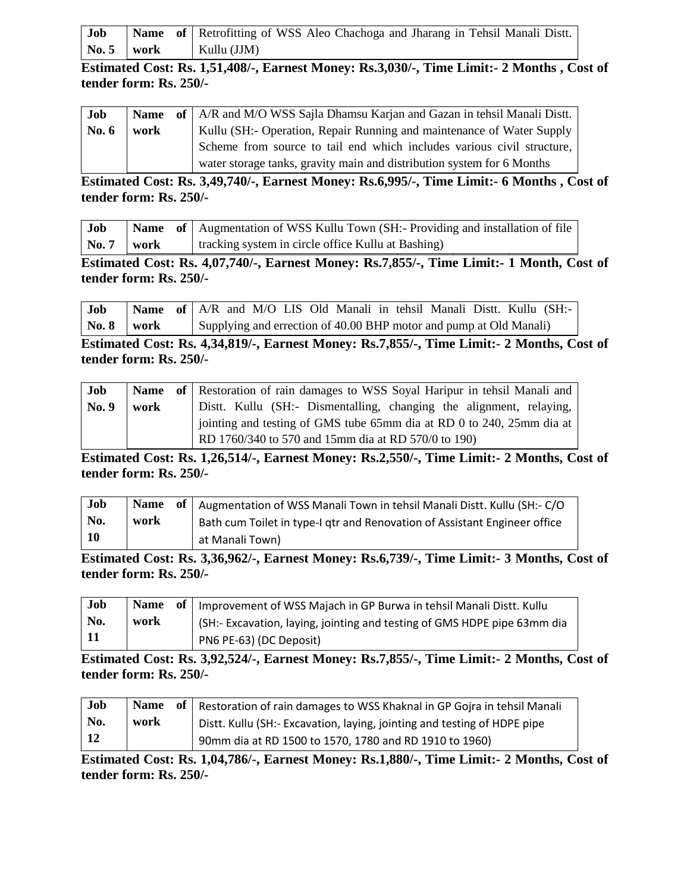| Job            |  | <b>Name</b> of Retrofitting of WSS Aleo Chachoga and Jharang in Tehsil Manali Dist. |
|----------------|--|-------------------------------------------------------------------------------------|
| No. $5$   work |  | $\vert$ Kullu (JJM)                                                                 |

**Estimated Cost: Rs. 1,51,408/-, Earnest Money: Rs.3,030/-, Time Limit:- 2 Months , Cost of tender form: Rs. 250/-**

| Job     |      | <b>Name</b> of   A/R and M/O WSS Sajla Dhamsu Karjan and Gazan in tehsil Manali Distt. |
|---------|------|----------------------------------------------------------------------------------------|
| No. $6$ | work | Kullu (SH:- Operation, Repair Running and maintenance of Water Supply                  |
|         |      | Scheme from source to tail end which includes various civil structure,                 |
|         |      | water storage tanks, gravity main and distribution system for 6 Months                 |

**Estimated Cost: Rs. 3,49,740/-, Earnest Money: Rs.6,995/-, Time Limit:- 6 Months , Cost of tender form: Rs. 250/-**

| Job                 |  | <b>Name</b> of Augmentation of WSS Kullu Town (SH:- Providing and installation of file |
|---------------------|--|----------------------------------------------------------------------------------------|
| $\sqrt{N_0.7}$ work |  | I tracking system in circle office Kullu at Bashing)                                   |

**Estimated Cost: Rs. 4,07,740/-, Earnest Money: Rs.7,855/-, Time Limit:- 1 Month, Cost of tender form: Rs. 250/-**

| Job                     | Name of   A/R and M/O LIS Old Manali in tehsil Manali Distt. Kullu (SH:- |  |  |  |                                                                    |  |  |  |
|-------------------------|--------------------------------------------------------------------------|--|--|--|--------------------------------------------------------------------|--|--|--|
| $\sqrt{8}$ No. 8   work |                                                                          |  |  |  | Supplying and errection of 40.00 BHP motor and pump at Old Manali) |  |  |  |

**Estimated Cost: Rs. 4,34,819/-, Earnest Money: Rs.7,855/-, Time Limit:- 2 Months, Cost of tender form: Rs. 250/-**

| Job   |      | <b>Name</b> of Restoration of rain damages to WSS Soyal Haripur in tehsil Manali and |
|-------|------|--------------------------------------------------------------------------------------|
| No. 9 | work | Distt. Kullu (SH:- Dismentalling, changing the alignment, relaying,                  |
|       |      | jointing and testing of GMS tube 65mm dia at RD 0 to 240, 25mm dia at                |
|       |      | RD 1760/340 to 570 and 15mm dia at RD 570/0 to 190)                                  |

**Estimated Cost: Rs. 1,26,514/-, Earnest Money: Rs.2,550/-, Time Limit:- 2 Months, Cost of tender form: Rs. 250/-**

| Job |      | Name of   Augmentation of WSS Manali Town in tehsil Manali Distt. Kullu (SH:- C/O      |
|-----|------|----------------------------------------------------------------------------------------|
| No. | work | <sup>1</sup> Bath cum Toilet in type-I gtr and Renovation of Assistant Engineer office |
| 10  |      | at Manali Town)                                                                        |

**Estimated Cost: Rs. 3,36,962/-, Earnest Money: Rs.6,739/-, Time Limit:- 3 Months, Cost of tender form: Rs. 250/-**

| Job |      | Name of   Improvement of WSS Majach in GP Burwa in tehsil Manali Distt. Kullu |
|-----|------|-------------------------------------------------------------------------------|
| No. | work | SH:- Excavation, laying, jointing and testing of GMS HDPE pipe 63mm dia       |
| 11  |      | PN6 PE-63) (DC Deposit)                                                       |

**Estimated Cost: Rs. 3,92,524/-, Earnest Money: Rs.7,855/-, Time Limit:- 2 Months, Cost of tender form: Rs. 250/-**

| Job        |      | Name of Restoration of rain damages to WSS Khaknal in GP Gojra in tehsil Manali |
|------------|------|---------------------------------------------------------------------------------|
| No.        | work | Distt. Kullu (SH:- Excavation, laying, jointing and testing of HDPE pipe        |
| $\vert$ 12 |      | 90mm dia at RD 1500 to 1570, 1780 and RD 1910 to 1960)                          |

**Estimated Cost: Rs. 1,04,786/-, Earnest Money: Rs.1,880/-, Time Limit:- 2 Months, Cost of tender form: Rs. 250/-**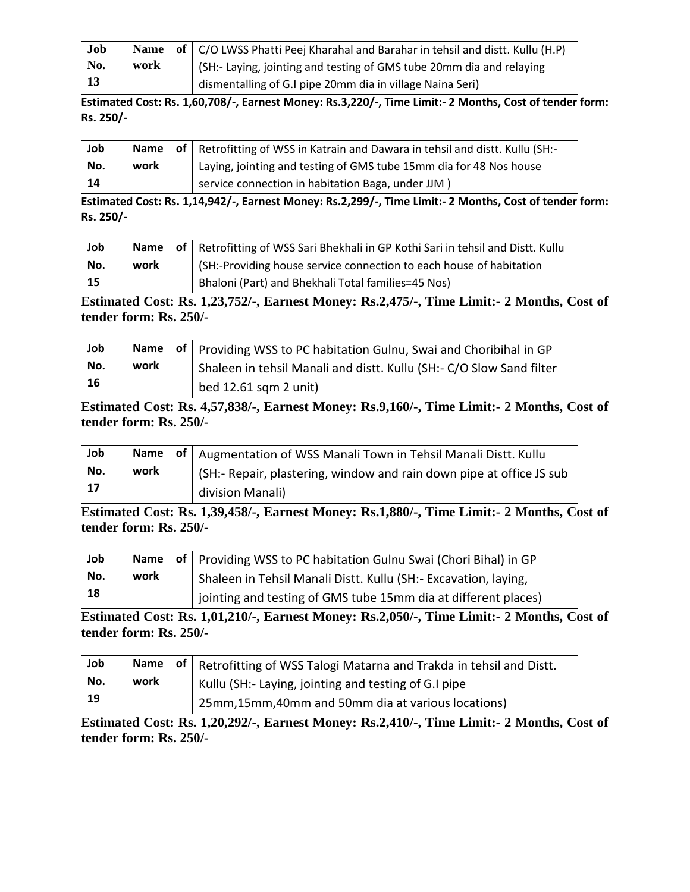| Job             |      | <b>Name</b> of $\vert$ C/O LWSS Phatti Peej Kharahal and Barahar in tehsil and distt. Kullu (H.P) |
|-----------------|------|---------------------------------------------------------------------------------------------------|
| No.             | work | (SH:- Laying, jointing and testing of GMS tube 20mm dia and relaying                              |
| $\overline{13}$ |      | dismentalling of G.I pipe 20mm dia in village Naina Seri)                                         |

**Estimated Cost: Rs. 1,60,708/-, Earnest Money: Rs.3,220/-, Time Limit:- 2 Months, Cost of tender form: Rs. 250/-**

| Job |      | <b>Name</b> of Retrofitting of WSS in Katrain and Dawara in tehsil and distt. Kullu (SH:- |
|-----|------|-------------------------------------------------------------------------------------------|
| No. | work | Laying, jointing and testing of GMS tube 15mm dia for 48 Nos house                        |
| 14  |      | service connection in habitation Baga, under JJM)                                         |

**Estimated Cost: Rs. 1,14,942/-, Earnest Money: Rs.2,299/-, Time Limit:- 2 Months, Cost of tender form: Rs. 250/-**

| Job |      | Name of Retrofitting of WSS Sari Bhekhali in GP Kothi Sari in tehsil and Distt. Kullu |
|-----|------|---------------------------------------------------------------------------------------|
| No. | work | (SH:-Providing house service connection to each house of habitation                   |
| -15 |      | Bhaloni (Part) and Bhekhali Total families=45 Nos)                                    |

**Estimated Cost: Rs. 1,23,752/-, Earnest Money: Rs.2,475/-, Time Limit:- 2 Months, Cost of tender form: Rs. 250/-**

| Job |      | Name of   Providing WSS to PC habitation Gulnu, Swai and Choribihal in GP |
|-----|------|---------------------------------------------------------------------------|
| No. | work | Shaleen in tehsil Manali and distt. Kullu (SH:- C/O Slow Sand filter      |
| 16  |      | bed 12.61 sqm 2 unit)                                                     |

**Estimated Cost: Rs. 4,57,838/-, Earnest Money: Rs.9,160/-, Time Limit:- 2 Months, Cost of tender form: Rs. 250/-**

| Job |      | Name of   Augmentation of WSS Manali Town in Tehsil Manali Distt. Kullu |
|-----|------|-------------------------------------------------------------------------|
| No. | work | (SH:- Repair, plastering, window and rain down pipe at office JS sub    |
| 17  |      | division Manali)                                                        |

**Estimated Cost: Rs. 1,39,458/-, Earnest Money: Rs.1,880/-, Time Limit:- 2 Months, Cost of tender form: Rs. 250/-**

| Job |      | Name of   Providing WSS to PC habitation Gulnu Swai (Chori Bihal) in GP |
|-----|------|-------------------------------------------------------------------------|
| No. | work | Shaleen in Tehsil Manali Distt. Kullu (SH:- Excavation, laying,         |
| 18  |      | jointing and testing of GMS tube 15mm dia at different places)          |

**Estimated Cost: Rs. 1,01,210/-, Earnest Money: Rs.2,050/-, Time Limit:- 2 Months, Cost of tender form: Rs. 250/-**

| Job |      | Name of   Retrofitting of WSS Talogi Matarna and Trakda in tehsil and Distt. |
|-----|------|------------------------------------------------------------------------------|
| No. | work | Kullu (SH:- Laying, jointing and testing of G.I pipe                         |
| -19 |      | 25mm,15mm,40mm and 50mm dia at various locations)                            |

**Estimated Cost: Rs. 1,20,292/-, Earnest Money: Rs.2,410/-, Time Limit:- 2 Months, Cost of tender form: Rs. 250/-**